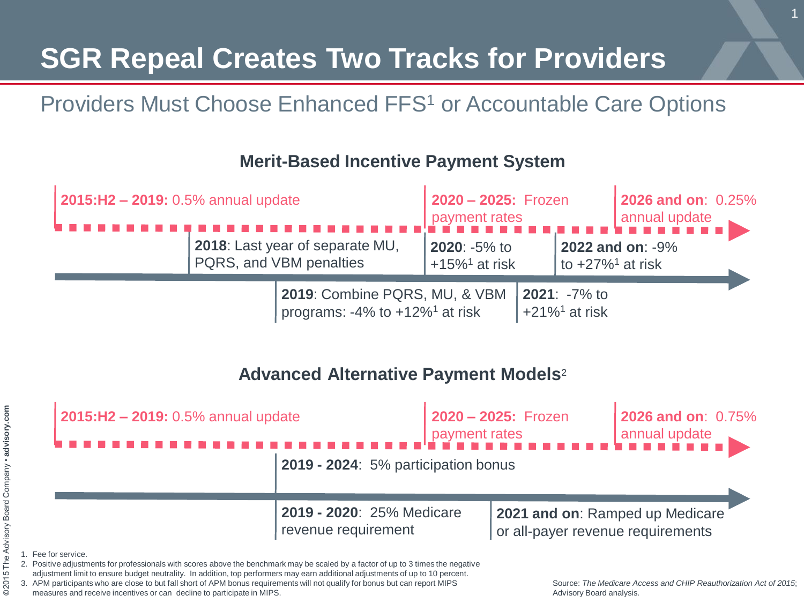## **SGR Repeal Creates Two Tracks for Providers**

### Providers Must Choose Enhanced FFS<sup>1</sup> or Accountable Care Options

#### **Merit-Based Incentive Payment System**



#### **Advanced Alternative Payment Models**<sup>2</sup>



3. APM participants who are close to but fall short of APM bonus requirements will not qualify for bonus but can report MIPS measures and receive incentives or can decline to participate in MIPS.

Source: *The Medicare Access and CHIP Reauthorization Act of 2015*; Advisory Board analysis.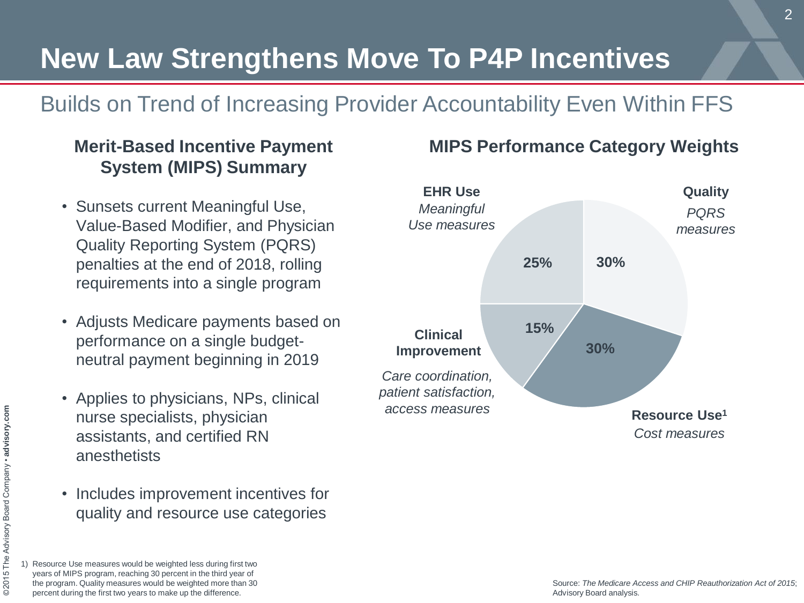## **New Law Strengthens Move To P4P Incentives**

### Builds on Trend of Increasing Provider Accountability Even Within FFS

### **Merit-Based Incentive Payment System (MIPS) Summary**

- Sunsets current Meaningful Use, Value-Based Modifier, and Physician Quality Reporting System (PQRS) penalties at the end of 2018, rolling requirements into a single program
- Adjusts Medicare payments based on performance on a single budgetneutral payment beginning in 2019
- Applies to physicians, NPs, clinical nurse specialists, physician assistants, and certified RN anesthetists
- Includes improvement incentives for quality and resource use categories



#### **MIPS Performance Category Weights**